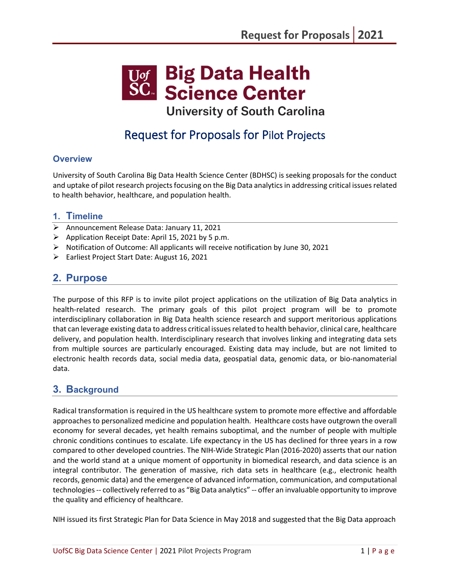

**University of South Carolina** 

# Request for Proposals for Pilot Projects

## **Overview**

University of South Carolina Big Data Health Science Center (BDHSC) is seeking proposals for the conduct and uptake of pilot research projects focusing on the Big Data analytics in addressing critical issues related to health behavior, healthcare, and population health.

### **1. Timeline**

- $\triangleright$  Announcement Release Data: January 11, 2021
- $\triangleright$  Application Receipt Date: April 15, 2021 by 5 p.m.
- $\triangleright$  Notification of Outcome: All applicants will receive notification by June 30, 2021
- Earliest Project Start Date: August 16, 2021

# **2. Purpose**

The purpose of this RFP is to invite pilot project applications on the utilization of Big Data analytics in health-related research. The primary goals of this pilot project program will be to promote interdisciplinary collaboration in Big Data health science research and support meritorious applications that can leverage existing data to address critical issues related to health behavior, clinical care, healthcare delivery, and population health. Interdisciplinary research that involves linking and integrating data sets from multiple sources are particularly encouraged. Existing data may include, but are not limited to electronic health records data, social media data, geospatial data, genomic data, or bio-nanomaterial data.

# **3. Background**

Radical transformation is required in the US healthcare system to promote more effective and affordable approaches to personalized medicine and population health. Healthcare costs have outgrown the overall economy for several decades, yet health remains suboptimal, and the number of people with multiple chronic conditions continues to escalate. Life expectancy in the US has declined for three years in a row compared to other developed countries. The NIH-Wide Strategic Plan (2016-2020) asserts that our nation and the world stand at a unique moment of opportunity in biomedical research, and data science is an integral contributor. The generation of massive, rich data sets in healthcare (e.g., electronic health records, genomic data) and the emergence of advanced information, communication, and computational technologies -- collectively referred to as "Big Data analytics" -- offer an invaluable opportunity to improve the quality and efficiency of healthcare.

NIH issued its first Strategic Plan for Data Science in May 2018 and suggested that the Big Data approach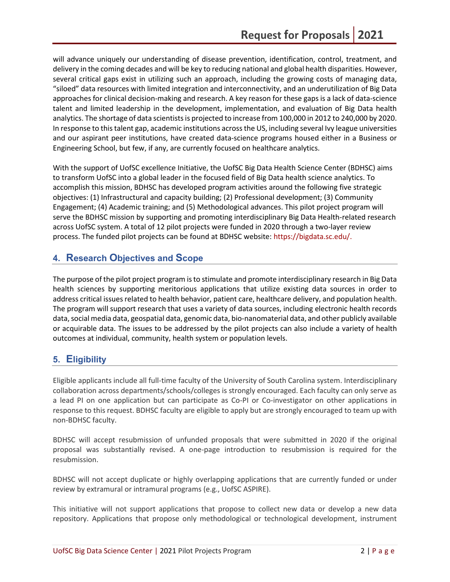will advance uniquely our understanding of disease prevention, identification, control, treatment, and delivery in the coming decades and will be key to reducing national and global health disparities. However, several critical gaps exist in utilizing such an approach, including the growing costs of managing data, "siloed" data resources with limited integration and interconnectivity, and an underutilization of Big Data approaches for clinical decision-making and research. A key reason for these gaps is a lack of data-science talent and limited leadership in the development, implementation, and evaluation of Big Data health analytics. The shortage of data scientists is projected to increase from 100,000 in 2012 to 240,000 by 2020. In response to this talent gap, academic institutions across the US, including several Ivy league universities and our aspirant peer institutions, have created data-science programs housed either in a Business or Engineering School, but few, if any, are currently focused on healthcare analytics.

With the support of UofSC excellence Initiative, the UofSC Big Data Health Science Center (BDHSC) aims to transform UofSC into a global leader in the focused field of Big Data health science analytics. To accomplish this mission, BDHSC has developed program activities around the following five strategic objectives: (1) Infrastructural and capacity building; (2) Professional development; (3) Community Engagement; (4) Academic training; and (5) Methodological advances. This pilot project program will serve the BDHSC mission by supporting and promoting interdisciplinary Big Data Health-related research across UofSC system. A total of 12 pilot projects were funded in 2020 through a two-layer review process. The funded pilot projects can be found at BDHSC website: [https://bigdata.sc.edu/.](https://bigdata.sc.edu/)

# **4. Research Objectives and Scope**

The purpose of the pilot project program is to stimulate and promote interdisciplinary research in Big Data health sciences by supporting meritorious applications that utilize existing data sources in order to address critical issues related to health behavior, patient care, healthcare delivery, and population health. The program will support research that uses a variety of data sources, including electronic health records data, social media data, geospatial data, genomic data, bio-nanomaterial data, and other publicly available or acquirable data. The issues to be addressed by the pilot projects can also include a variety of health outcomes at individual, community, health system or population levels.

## **5. Eligibility**

Eligible applicants include all full-time faculty of the University of South Carolina system. Interdisciplinary collaboration across departments/schools/colleges is strongly encouraged. Each faculty can only serve as a lead PI on one application but can participate as Co-PI or Co-investigator on other applications in response to this request. BDHSC faculty are eligible to apply but are strongly encouraged to team up with non-BDHSC faculty.

BDHSC will accept resubmission of unfunded proposals that were submitted in 2020 if the original proposal was substantially revised. A one-page introduction to resubmission is required for the resubmission.

BDHSC will not accept duplicate or highly overlapping applications that are currently funded or under review by extramural or intramural programs (e.g., UofSC ASPIRE).

This initiative will not support applications that propose to collect new data or develop a new data repository. Applications that propose only methodological or technological development, instrument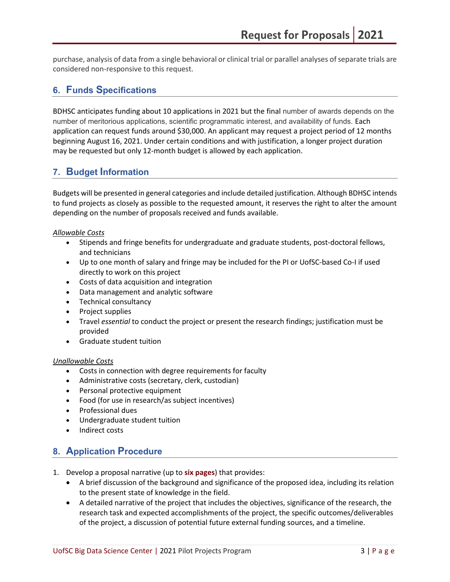purchase, analysis of data from a single behavioral or clinical trial or parallel analyses of separate trials are considered non-responsive to this request.

# **6. Funds Specifications**

BDHSC anticipates funding about 10 applications in 2021 but the final number of awards depends on the number of meritorious applications, scientific programmatic interest, and availability of funds. Each application can request funds around \$30,000. An applicant may request a project period of 12 months beginning August 16, 2021. Under certain conditions and with justification, a longer project duration may be requested but only 12-month budget is allowed by each application.

## **7. Budget Information**

Budgets will be presented in general categories and include detailed justification. Although BDHSC intends to fund projects as closely as possible to the requested amount, it reserves the right to alter the amount depending on the number of proposals received and funds available.

### *Allowable Costs*

- Stipends and fringe benefits for undergraduate and graduate students, post-doctoral fellows, and technicians
- Up to one month of salary and fringe may be included for the PI or UofSC-based Co-I if used directly to work on this project
- Costs of data acquisition and integration
- Data management and analytic software
- Technical consultancy
- Project supplies
- Travel *essential* to conduct the project or present the research findings; justification must be provided
- Graduate student tuition

### *Unallowable Costs*

- Costs in connection with degree requirements for faculty
- Administrative costs (secretary, clerk, custodian)
- Personal protective equipment
- Food (for use in research/as subject incentives)
- Professional dues
- Undergraduate student tuition
- Indirect costs

## **8. Application Procedure**

- 1. Develop a proposal narrative (up to **six pages**) that provides:
	- A brief discussion of the background and significance of the proposed idea, including its relation to the present state of knowledge in the field.
	- A detailed narrative of the project that includes the objectives, significance of the research, the research task and expected accomplishments of the project, the specific outcomes/deliverables of the project, a discussion of potential future external funding sources, and a timeline.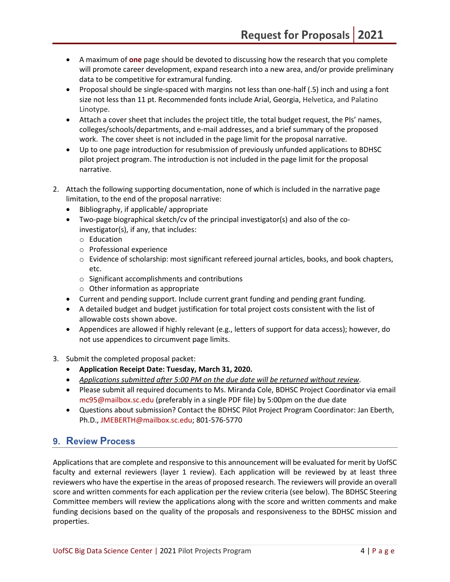- A maximum of **one** page should be devoted to discussing how the research that you complete will promote career development, expand research into a new area, and/or provide preliminary data to be competitive for extramural funding.
- Proposal should be single-spaced with margins not less than one-half (.5) inch and using a font size not less than 11 pt. Recommended fonts include Arial, Georgia, Helvetica, and Palatino Linotype.
- Attach a cover sheet that includes the project title, the total budget request, the PIs' names, colleges/schools/departments, and e-mail addresses, and a brief summary of the proposed work. The cover sheet is not included in the page limit for the proposal narrative.
- Up to one page introduction for resubmission of previously unfunded applications to BDHSC pilot project program. The introduction is not included in the page limit for the proposal narrative.
- 2. Attach the following supporting documentation, none of which is included in the narrative page limitation, to the end of the proposal narrative:
	- Bibliography, if applicable/ appropriate
	- Two-page biographical sketch/cv of the principal investigator(s) and also of the coinvestigator(s), if any, that includes:
		- o Education
		- o Professional experience
		- o Evidence of scholarship: most significant refereed journal articles, books, and book chapters, etc.
		- o Significant accomplishments and contributions
		- $\circ$  Other information as appropriate
	- Current and pending support. Include current grant funding and pending grant funding.
	- A detailed budget and budget justification for total project costs consistent with the list of allowable costs shown above.
	- Appendices are allowed if highly relevant (e.g., letters of support for data access); however, do not use appendices to circumvent page limits.
- 3. Submit the completed proposal packet:
	- **Application Receipt Date: Tuesday, March 31, 2020.**
	- *Applications submitted after 5:00 PM on the due date will be returned without review*.
	- Please submit all required documents to Ms. Miranda Cole, BDHSC Project Coordinator via email [mc95@mailbox.sc.edu](mailto:mc95@mailbox.sc.edu) (preferably in a single PDF file) by 5:00pm on the due date
	- Questions about submission? Contact the BDHSC Pilot Project Program Coordinator: Jan Eberth, Ph.D., [JMEBERTH@mailbox.sc.edu;](mailto:JMEBERTH@mailbox.sc.edu) 801-576-5770

# **9. Review Process**

Applications that are complete and responsive to this announcement will be evaluated for merit by UofSC faculty and external reviewers (layer 1 review). Each application will be reviewed by at least three reviewers who have the expertise in the areas of proposed research. The reviewers will provide an overall score and written comments for each application per the review criteria (see below). The BDHSC Steering Committee members will review the applications along with the score and written comments and make funding decisions based on the quality of the proposals and responsiveness to the BDHSC mission and properties.